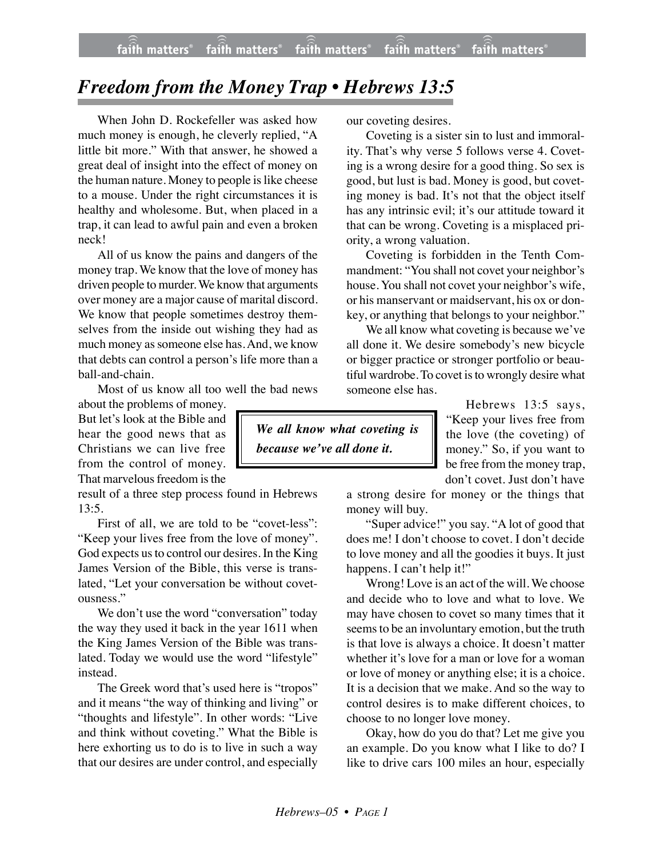## *Freedom from the Money Trap • Hebrews 13:5*

When John D. Rockefeller was asked how much money is enough, he cleverly replied, "A little bit more." With that answer, he showed a great deal of insight into the effect of money on the human nature. Money to people is like cheese to a mouse. Under the right circumstances it is healthy and wholesome. But, when placed in a trap, it can lead to awful pain and even a broken neck!

All of us know the pains and dangers of the money trap. We know that the love of money has driven people to murder. We know that arguments over money are a major cause of marital discord. We know that people sometimes destroy themselves from the inside out wishing they had as much money as someone else has. And, we know that debts can control a person's life more than a ball-and-chain.

Most of us know all too well the bad news

about the problems of money. But let's look at the Bible and hear the good news that as Christians we can live free from the control of money. That marvelous freedom is the

result of a three step process found in Hebrews 13:5.

First of all, we are told to be "covet-less": "Keep your lives free from the love of money". God expects us to control our desires. In the King James Version of the Bible, this verse is translated, "Let your conversation be without covetousness."

We don't use the word "conversation" today the way they used it back in the year 1611 when the King James Version of the Bible was translated. Today we would use the word "lifestyle" instead.

The Greek word that's used here is "tropos" and it means "the way of thinking and living" or "thoughts and lifestyle". In other words: "Live and think without coveting." What the Bible is here exhorting us to do is to live in such a way that our desires are under control, and especially

our coveting desires.

Coveting is a sister sin to lust and immorality. That's why verse 5 follows verse 4. Coveting is a wrong desire for a good thing. So sex is good, but lust is bad. Money is good, but coveting money is bad. It's not that the object itself has any intrinsic evil; it's our attitude toward it that can be wrong. Coveting is a misplaced priority, a wrong valuation.

Coveting is forbidden in the Tenth Commandment: "You shall not covet your neighbor's house. You shall not covet your neighbor's wife, or his manservant or maidservant, his ox or donkey, or anything that belongs to your neighbor."

We all know what coveting is because we've all done it. We desire somebody's new bicycle or bigger practice or stronger portfolio or beautiful wardrobe. To covet is to wrongly desire what someone else has.

> Hebrews 13:5 says, "Keep your lives free from the love (the coveting) of money." So, if you want to be free from the money trap, don't covet. Just don't have

a strong desire for money or the things that money will buy.

"Super advice!" you say. "A lot of good that does me! I don't choose to covet. I don't decide to love money and all the goodies it buys. It just happens. I can't help it!"

Wrong! Love is an act of the will. We choose and decide who to love and what to love. We may have chosen to covet so many times that it seems to be an involuntary emotion, but the truth is that love is always a choice. It doesn't matter whether it's love for a man or love for a woman or love of money or anything else; it is a choice. It is a decision that we make. And so the way to control desires is to make different choices, to choose to no longer love money.

Okay, how do you do that? Let me give you an example. Do you know what I like to do? I like to drive cars 100 miles an hour, especially

*We all know what coveting is because we've all done it.*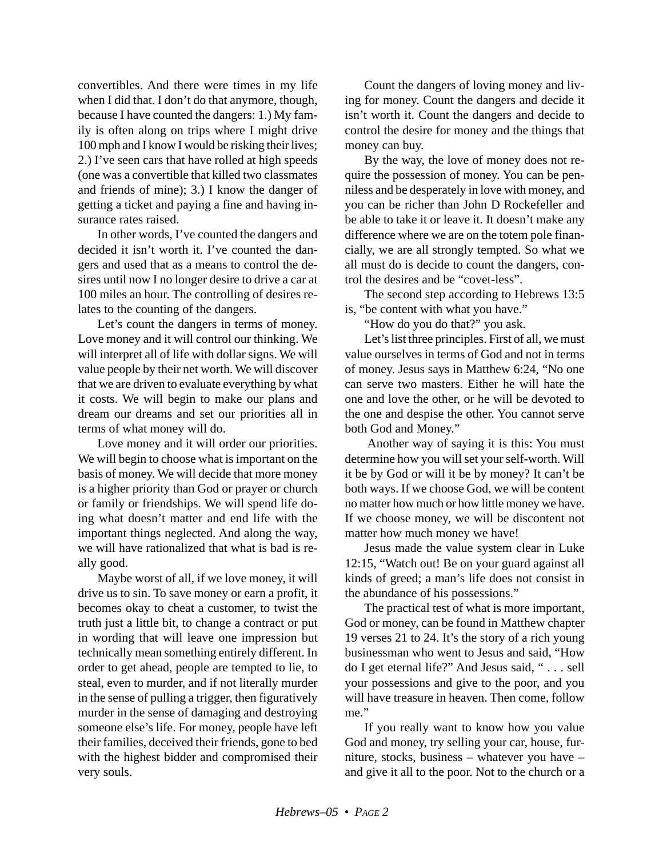convertibles. And there were times in my life when I did that. I don't do that anymore, though, because I have counted the dangers: 1.) My family is often along on trips where I might drive 100 mph and I know I would be risking their lives; 2.) I've seen cars that have rolled at high speeds (one was a convertible that killed two classmates and friends of mine); 3.) I know the danger of getting a ticket and paying a fine and having insurance rates raised.

In other words, I've counted the dangers and decided it isn't worth it. I've counted the dangers and used that as a means to control the desires until now I no longer desire to drive a car at 100 miles an hour. The controlling of desires relates to the counting of the dangers.

Let's count the dangers in terms of money. Love money and it will control our thinking. We will interpret all of life with dollar signs. We will value people by their net worth. We will discover that we are driven to evaluate everything by what it costs. We will begin to make our plans and dream our dreams and set our priorities all in terms of what money will do.

Love money and it will order our priorities. We will begin to choose what is important on the basis of money. We will decide that more money is a higher priority than God or prayer or church or family or friendships. We will spend life doing what doesn't matter and end life with the important things neglected. And along the way, we will have rationalized that what is bad is really good.

Maybe worst of all, if we love money, it will drive us to sin. To save money or earn a profit, it becomes okay to cheat a customer, to twist the truth just a little bit, to change a contract or put in wording that will leave one impression but technically mean something entirely different. In order to get ahead, people are tempted to lie, to steal, even to murder, and if not literally murder in the sense of pulling a trigger, then figuratively murder in the sense of damaging and destroying someone else's life. For money, people have left their families, deceived their friends, gone to bed with the highest bidder and compromised their very souls.

Count the dangers of loving money and living for money. Count the dangers and decide it isn't worth it. Count the dangers and decide to control the desire for money and the things that money can buy.

By the way, the love of money does not require the possession of money. You can be penniless and be desperately in love with money, and you can be richer than John D Rockefeller and be able to take it or leave it. It doesn't make any difference where we are on the totem pole financially, we are all strongly tempted. So what we all must do is decide to count the dangers, control the desires and be "covet-less".

The second step according to Hebrews 13:5 is, "be content with what you have."

"How do you do that?" you ask.

Let's list three principles. First of all, we must value ourselves in terms of God and not in terms of money. Jesus says in Matthew 6:24, "No one can serve two masters. Either he will hate the one and love the other, or he will be devoted to the one and despise the other. You cannot serve both God and Money."

 Another way of saying it is this: You must determine how you will set your self-worth. Will it be by God or will it be by money? It can't be both ways. If we choose God, we will be content no matter how much or how little money we have. If we choose money, we will be discontent not matter how much money we have!

Jesus made the value system clear in Luke 12:15, "Watch out! Be on your guard against all kinds of greed; a man's life does not consist in the abundance of his possessions."

The practical test of what is more important, God or money, can be found in Matthew chapter 19 verses 21 to 24. It's the story of a rich young businessman who went to Jesus and said, "How do I get eternal life?" And Jesus said, " . . . sell your possessions and give to the poor, and you will have treasure in heaven. Then come, follow me."

If you really want to know how you value God and money, try selling your car, house, furniture, stocks, business – whatever you have – and give it all to the poor. Not to the church or a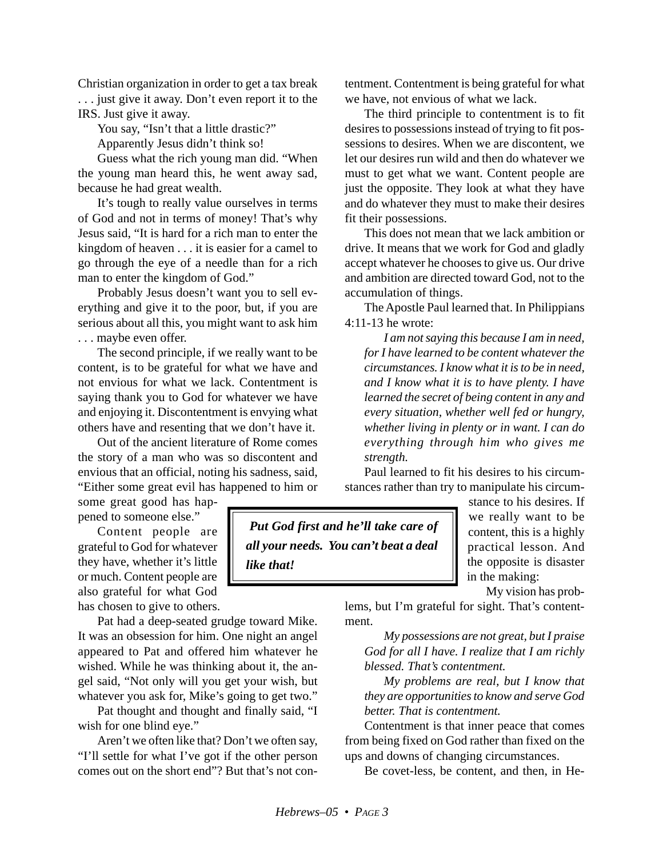Christian organization in order to get a tax break . . . just give it away. Don't even report it to the IRS. Just give it away.

You say, "Isn't that a little drastic?"

Apparently Jesus didn't think so!

Guess what the rich young man did. "When the young man heard this, he went away sad, because he had great wealth.

It's tough to really value ourselves in terms of God and not in terms of money! That's why Jesus said, "It is hard for a rich man to enter the kingdom of heaven . . . it is easier for a camel to go through the eye of a needle than for a rich man to enter the kingdom of God."

Probably Jesus doesn't want you to sell everything and give it to the poor, but, if you are serious about all this, you might want to ask him . . . maybe even offer.

The second principle, if we really want to be content, is to be grateful for what we have and not envious for what we lack. Contentment is saying thank you to God for whatever we have and enjoying it. Discontentment is envying what others have and resenting that we don't have it.

Out of the ancient literature of Rome comes the story of a man who was so discontent and envious that an official, noting his sadness, said, "Either some great evil has happened to him or

some great good has happened to someone else."

Content people are grateful to God for whatever they have, whether it's little or much. Content people are also grateful for what God has chosen to give to others.

Pat had a deep-seated grudge toward Mike. It was an obsession for him. One night an angel appeared to Pat and offered him whatever he wished. While he was thinking about it, the angel said, "Not only will you get your wish, but whatever you ask for, Mike's going to get two."

Pat thought and thought and finally said, "I wish for one blind eye."

Aren't we often like that? Don't we often say, "I'll settle for what I've got if the other person comes out on the short end"? But that's not contentment. Contentment is being grateful for what we have, not envious of what we lack.

The third principle to contentment is to fit desires to possessions instead of trying to fit possessions to desires. When we are discontent, we let our desires run wild and then do whatever we must to get what we want. Content people are just the opposite. They look at what they have and do whatever they must to make their desires fit their possessions.

This does not mean that we lack ambition or drive. It means that we work for God and gladly accept whatever he chooses to give us. Our drive and ambition are directed toward God, not to the accumulation of things.

The Apostle Paul learned that. In Philippians 4:11-13 he wrote:

*I am not saying this because I am in need, for I have learned to be content whatever the circumstances. I know what it is to be in need, and I know what it is to have plenty. I have learned the secret of being content in any and every situation, whether well fed or hungry, whether living in plenty or in want. I can do everything through him who gives me strength.*

Paul learned to fit his desires to his circumstances rather than try to manipulate his circum-

 *Put God first and he'll take care of all your needs. You can't beat a deal like that!*

stance to his desires. If we really want to be content, this is a highly practical lesson. And the opposite is disaster in the making:

My vision has prob-

lems, but I'm grateful for sight. That's contentment.

*My possessions are not great, but I praise God for all I have. I realize that I am richly blessed. That's contentment.*

*My problems are real, but I know that they are opportunities to know and serve God better. That is contentment.*

Contentment is that inner peace that comes from being fixed on God rather than fixed on the ups and downs of changing circumstances.

Be covet-less, be content, and then, in He-